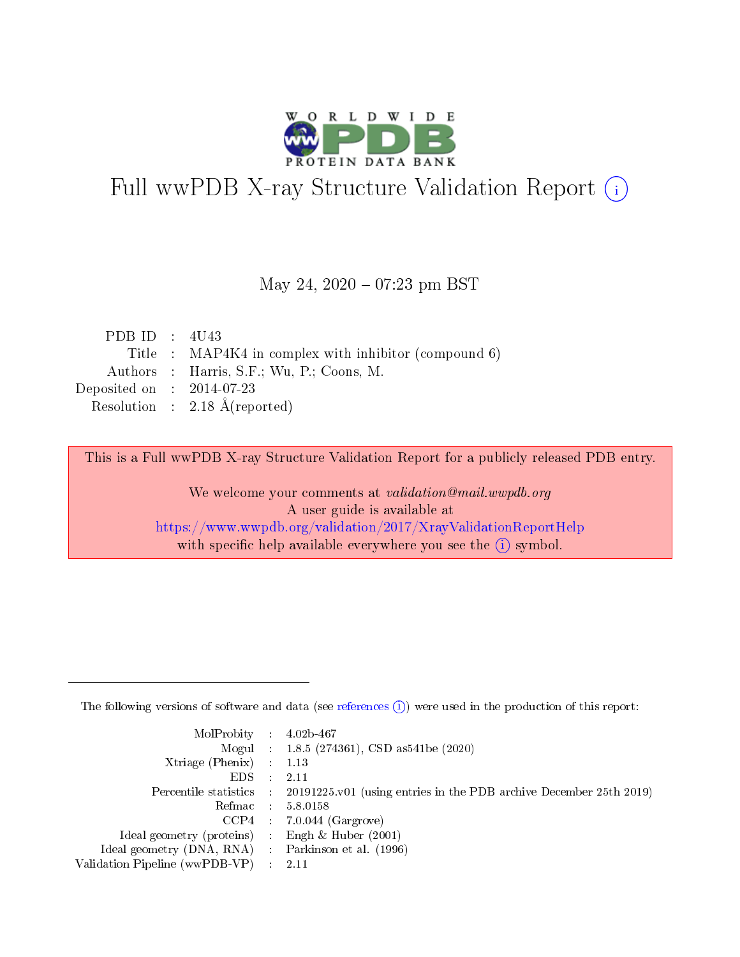

# Full wwPDB X-ray Structure Validation Report (i)

#### May 24,  $2020 - 07:23$  pm BST

| PDB ID : $4U43$             |                                                       |
|-----------------------------|-------------------------------------------------------|
|                             | Title : MAP4K4 in complex with inhibitor (compound 6) |
|                             | Authors : Harris, S.F.; Wu, P.; Coons, M.             |
| Deposited on : $2014-07-23$ |                                                       |
|                             | Resolution : $2.18 \text{ Å}$ (reported)              |

This is a Full wwPDB X-ray Structure Validation Report for a publicly released PDB entry.

We welcome your comments at validation@mail.wwpdb.org A user guide is available at <https://www.wwpdb.org/validation/2017/XrayValidationReportHelp> with specific help available everywhere you see the  $(i)$  symbol.

The following versions of software and data (see [references](https://www.wwpdb.org/validation/2017/XrayValidationReportHelp#references)  $(1)$ ) were used in the production of this report:

| MolProbity : $4.02b-467$                            |                                                                                            |
|-----------------------------------------------------|--------------------------------------------------------------------------------------------|
|                                                     | Mogul : $1.8.5$ (274361), CSD as 541be (2020)                                              |
| $Xtriangle (Phenix)$ : 1.13                         |                                                                                            |
| $EDS$ :                                             | -2.11                                                                                      |
|                                                     | Percentile statistics : 20191225.v01 (using entries in the PDB archive December 25th 2019) |
| Refmac : 5.8.0158                                   |                                                                                            |
|                                                     | $CCP4$ 7.0.044 (Gargrove)                                                                  |
| Ideal geometry (proteins) : Engh $\&$ Huber (2001)  |                                                                                            |
| Ideal geometry (DNA, RNA) : Parkinson et al. (1996) |                                                                                            |
| Validation Pipeline (wwPDB-VP) : 2.11               |                                                                                            |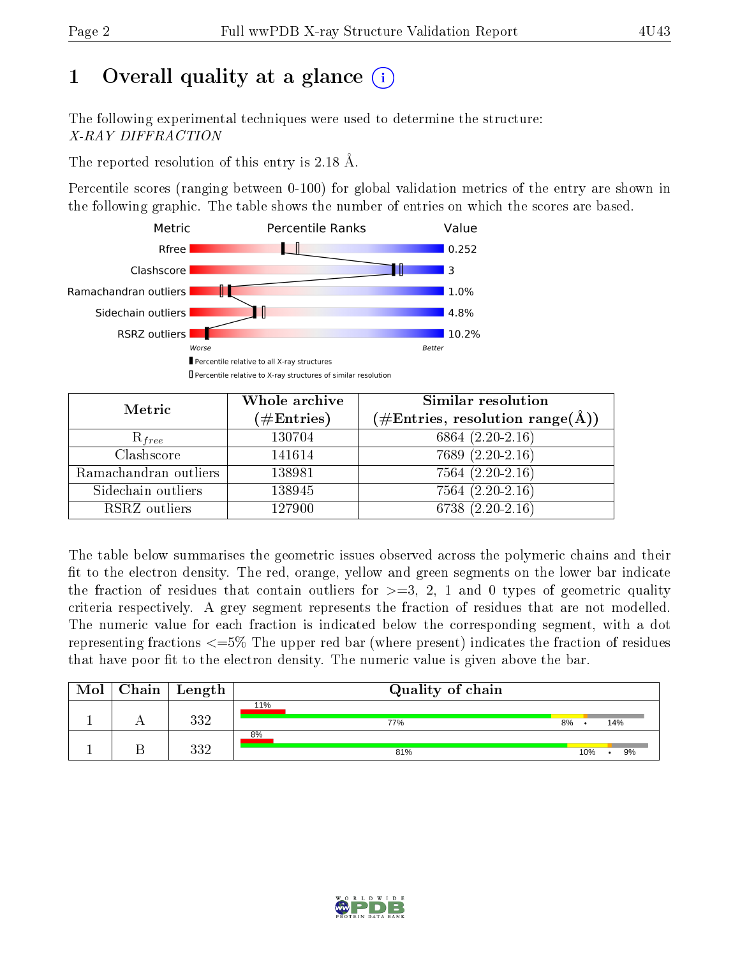## 1 [O](https://www.wwpdb.org/validation/2017/XrayValidationReportHelp#overall_quality)verall quality at a glance  $(i)$

The following experimental techniques were used to determine the structure: X-RAY DIFFRACTION

The reported resolution of this entry is 2.18 Å.

Percentile scores (ranging between 0-100) for global validation metrics of the entry are shown in the following graphic. The table shows the number of entries on which the scores are based.



| Metric                | Whole archive<br>$(\#\text{Entries})$ | Similar resolution<br>$(\#\text{Entries},\,\text{resolution}\,\,\text{range}(\textup{\AA})\, )$ |  |  |
|-----------------------|---------------------------------------|-------------------------------------------------------------------------------------------------|--|--|
| $R_{free}$            | 130704                                | 6864 $(2.20-2.16)$                                                                              |  |  |
| Clashscore            | 141614                                | $7689(2.20-2.16)$                                                                               |  |  |
| Ramachandran outliers | 138981                                | $7564(2.20-2.16)$                                                                               |  |  |
| Sidechain outliers    | 138945                                | $7564 (2.20 - 2.16)$                                                                            |  |  |
| RSRZ outliers         | 127900                                | $6738(2.20-2.16)$                                                                               |  |  |

The table below summarises the geometric issues observed across the polymeric chains and their fit to the electron density. The red, orange, yellow and green segments on the lower bar indicate the fraction of residues that contain outliers for  $>=3, 2, 1$  and 0 types of geometric quality criteria respectively. A grey segment represents the fraction of residues that are not modelled. The numeric value for each fraction is indicated below the corresponding segment, with a dot representing fractions  $\epsilon=5\%$  The upper red bar (where present) indicates the fraction of residues that have poor fit to the electron density. The numeric value is given above the bar.

| $\text{Mol}$ | $\vert$ Chain $\vert$ Length | Quality of chain |     |     |
|--------------|------------------------------|------------------|-----|-----|
|              |                              | 11%              |     |     |
|              | १११<br>UU Z                  | 77%              | 8%  | 14% |
|              |                              | 8%               |     |     |
|              | १११<br>ے ںر                  | 81%              | 10% | 9%  |

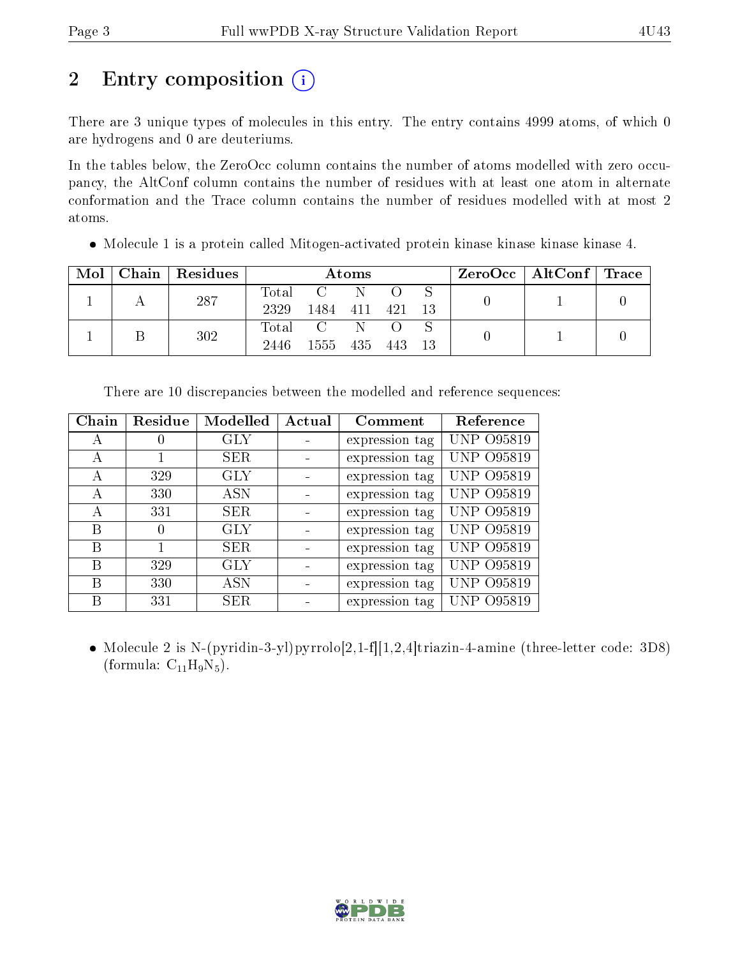# 2 Entry composition  $\left( \cdot \right)$

There are 3 unique types of molecules in this entry. The entry contains 4999 atoms, of which 0 are hydrogens and 0 are deuteriums.

In the tables below, the ZeroOcc column contains the number of atoms modelled with zero occupancy, the AltConf column contains the number of residues with at least one atom in alternate conformation and the Trace column contains the number of residues modelled with at most 2 atoms.

Molecule 1 is a protein called Mitogen-activated protein kinase kinase kinase kinase 4.

| Mol | Chain   Residues | Atoms               |      |     |      | $ZeroOcc \mid AltConf \mid Trace$ |  |  |
|-----|------------------|---------------------|------|-----|------|-----------------------------------|--|--|
|     | 287              | $\rm Total$<br>2329 | 1484 | 411 | -421 |                                   |  |  |
|     | 302              | Total<br>2446       | 1555 | 435 | 443  |                                   |  |  |

| Chain | Residue  | Modelled   | Actual | Comment        | Reference         |
|-------|----------|------------|--------|----------------|-------------------|
| А     |          | <b>GLY</b> |        | expression tag | <b>UNP 095819</b> |
| A     |          | SER        |        | expression tag | <b>UNP 095819</b> |
| А     | 329      | <b>GLY</b> |        | expression tag | <b>UNP 095819</b> |
| А     | 330      | ASN        |        | expression tag | <b>UNP 095819</b> |
| А     | 331      | SER        |        | expression tag | <b>UNP 095819</b> |
| В     | $\theta$ | GLY        |        | expression tag | <b>UNP 095819</b> |
| B     |          | SER        |        | expression tag | <b>UNP 095819</b> |
| B     | 329      | <b>GLY</b> |        | expression tag | UNP 095819        |
| B     | 330      | <b>ASN</b> |        | expression tag | <b>UNP 095819</b> |
| В     | 331      | <b>SER</b> |        | expression tag | UNP 095819        |

There are 10 discrepancies between the modelled and reference sequences:

• Molecule 2 is N-(pyridin-3-yl)pyrrolo $[2,1-f][1,2,4]$ triazin-4-amine (three-letter code: 3D8) (formula:  $C_{11}H_9N_5$ ).

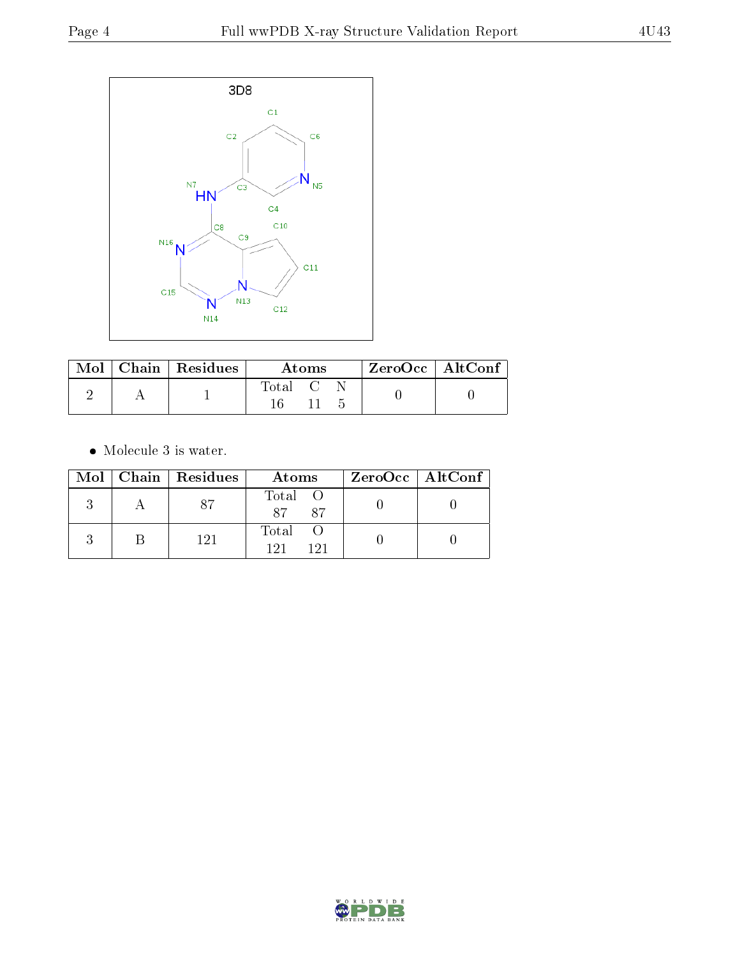

|  | $\mid$ Mol $\mid$ Chain $\mid$ Residues $\mid$ | – Atoms                       |  | † ZeroOcc∣AltConf∣ |  |  |
|--|------------------------------------------------|-------------------------------|--|--------------------|--|--|
|  |                                                | $\mathrm{Total}$ $\mathrm{C}$ |  |                    |  |  |

• Molecule 3 is water.

|  | Mol   Chain   Residues | Atoms               | $ZeroOcc \   \ AltConf \  $ |
|--|------------------------|---------------------|-----------------------------|
|  |                        | Total O<br>87<br>87 |                             |
|  | 121                    | Total<br>191<br>191 |                             |

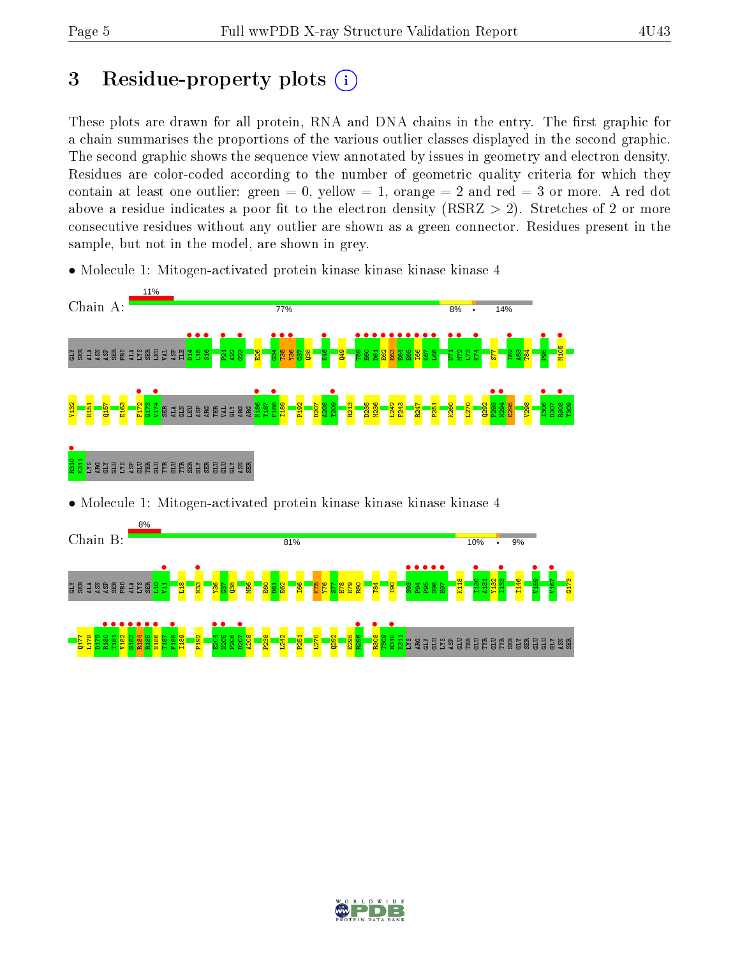## 3 Residue-property plots  $(i)$

These plots are drawn for all protein, RNA and DNA chains in the entry. The first graphic for a chain summarises the proportions of the various outlier classes displayed in the second graphic. The second graphic shows the sequence view annotated by issues in geometry and electron density. Residues are color-coded according to the number of geometric quality criteria for which they contain at least one outlier: green  $= 0$ , yellow  $= 1$ , orange  $= 2$  and red  $= 3$  or more. A red dot above a residue indicates a poor fit to the electron density (RSRZ  $> 2$ ). Stretches of 2 or more consecutive residues without any outlier are shown as a green connector. Residues present in the sample, but not in the model, are shown in grey.

• Molecule 1: Mitogen-activated protein kinase kinase kinase kinase 4



• Molecule 1: Mitogen-activated protein kinase kinase kinase kinase 4



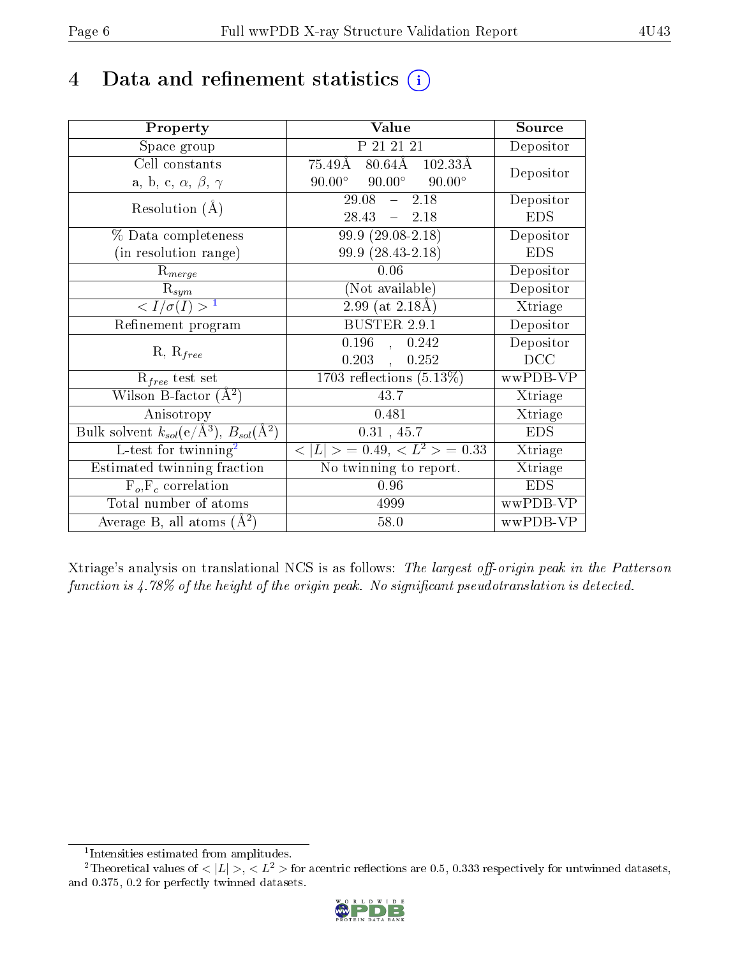## 4 Data and refinement statistics  $(i)$

| Property                                                         | Value                                            | Source     |
|------------------------------------------------------------------|--------------------------------------------------|------------|
| Space group                                                      | P 21 21 21                                       | Depositor  |
| Cell constants                                                   | $80.64\text{\AA}$ $102.33\text{\AA}$<br>75.49Å   | Depositor  |
| a, b, c, $\alpha$ , $\beta$ , $\gamma$                           | $90.00^{\circ}$ $90.00^{\circ}$<br>$90.00^\circ$ |            |
| Resolution $(A)$                                                 | $29.08 - 2.18$                                   | Depositor  |
|                                                                  | $28.43 - 2.18$                                   | <b>EDS</b> |
| % Data completeness                                              | $99.9(29.08-2.18)$                               | Depositor  |
| (in resolution range)                                            | 99.9 (28.43-2.18)                                | <b>EDS</b> |
| $R_{merge}$                                                      | 0.06                                             | Depositor  |
| $\mathrm{R}_{sym}$                                               | (Not available)                                  | Depositor  |
| $\langle I/\sigma(I) \rangle^{-1}$                               | $2.99$ (at $2.18\text{\AA}$ )                    | Xtriage    |
| Refinement program                                               | <b>BUSTER 2.9.1</b>                              | Depositor  |
|                                                                  | $0.196$ , $0.242$                                | Depositor  |
| $R, R_{free}$                                                    | $0.203$ ,<br>0.252                               | DCC        |
| $R_{free}$ test set                                              | $1703$ reflections $(5.13\%)$                    | wwPDB-VP   |
| Wilson B-factor $(A^2)$                                          | 43.7                                             | Xtriage    |
| Anisotropy                                                       | 0.481                                            | Xtriage    |
| Bulk solvent $k_{sol}(\text{e}/\text{A}^3), B_{sol}(\text{A}^2)$ | 0.31, 45.7                                       | <b>EDS</b> |
| L-test for twinning <sup>2</sup>                                 | $< L >$ = 0.49, $< L2$ = 0.33                    | Xtriage    |
| Estimated twinning fraction                                      | No twinning to report.                           | Xtriage    |
| $F_o, F_c$ correlation                                           | 0.96                                             | <b>EDS</b> |
| Total number of atoms                                            | 4999                                             | wwPDB-VP   |
| Average B, all atoms $(A^2)$                                     | 58.0                                             | wwPDB-VP   |

Xtriage's analysis on translational NCS is as follows: The largest off-origin peak in the Patterson function is  $4.78\%$  of the height of the origin peak. No significant pseudotranslation is detected.

<sup>&</sup>lt;sup>2</sup>Theoretical values of  $\langle |L| \rangle$ ,  $\langle L^2 \rangle$  for acentric reflections are 0.5, 0.333 respectively for untwinned datasets, and 0.375, 0.2 for perfectly twinned datasets.



<span id="page-5-1"></span><span id="page-5-0"></span><sup>1</sup> Intensities estimated from amplitudes.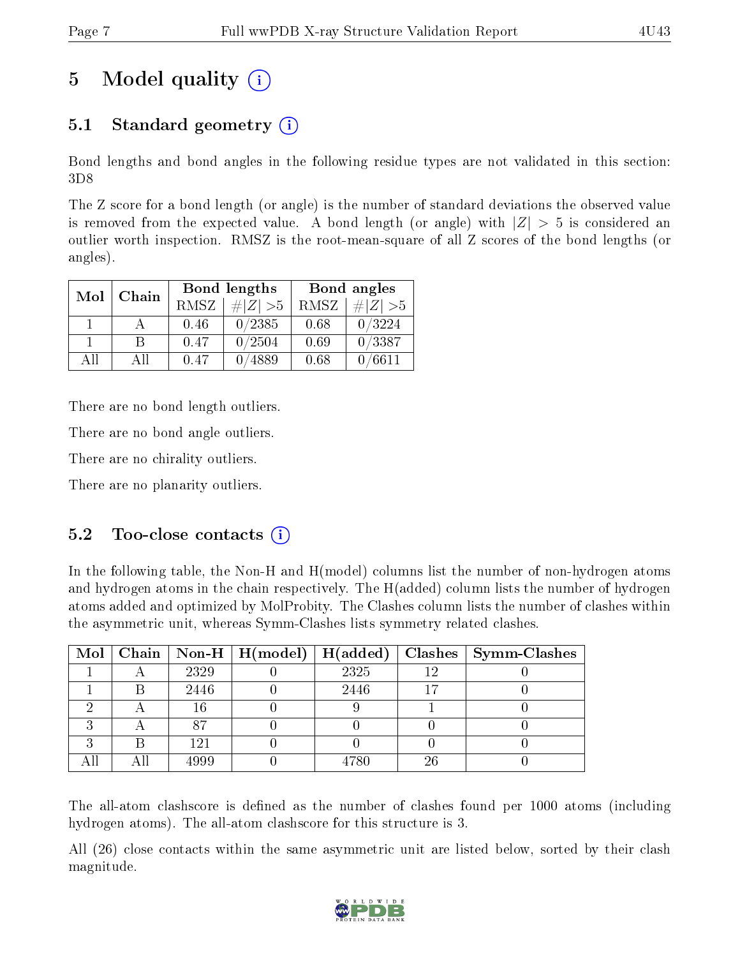## 5 Model quality  $(i)$

## 5.1 Standard geometry  $(i)$

Bond lengths and bond angles in the following residue types are not validated in this section: 3D8

The Z score for a bond length (or angle) is the number of standard deviations the observed value is removed from the expected value. A bond length (or angle) with  $|Z| > 5$  is considered an outlier worth inspection. RMSZ is the root-mean-square of all Z scores of the bond lengths (or angles).

| Mol | Chain |      | <b>Bond lengths</b> | Bond angles |                     |  |
|-----|-------|------|---------------------|-------------|---------------------|--|
|     |       | RMSZ | $\# Z  > 5$         | RMSZ        | $\Vert Z \Vert > 5$ |  |
|     |       | 0.46 | 0/2385              | 0.68        | 0/3224              |  |
|     | R     | 0.47 | 0/2504              | 0.69        | 0/3387              |  |
| AH  | АH    | 0.47 | $^{\prime}4889$     | 0.68        | 0/6611              |  |

There are no bond length outliers.

There are no bond angle outliers.

There are no chirality outliers.

There are no planarity outliers.

#### $5.2$  Too-close contacts  $(i)$

In the following table, the Non-H and H(model) columns list the number of non-hydrogen atoms and hydrogen atoms in the chain respectively. The H(added) column lists the number of hydrogen atoms added and optimized by MolProbity. The Clashes column lists the number of clashes within the asymmetric unit, whereas Symm-Clashes lists symmetry related clashes.

|   |      |      |    | Mol   Chain   Non-H   H(model)   H(added)   Clashes   Symm-Clashes |
|---|------|------|----|--------------------------------------------------------------------|
|   | 2329 | 2325 | 19 |                                                                    |
|   | 2446 | 2446 |    |                                                                    |
|   | 16   |      |    |                                                                    |
|   | 87   |      |    |                                                                    |
| ົ | 121  |      |    |                                                                    |
|   | 4999 | 4780 | 26 |                                                                    |

The all-atom clashscore is defined as the number of clashes found per 1000 atoms (including hydrogen atoms). The all-atom clashscore for this structure is 3.

All (26) close contacts within the same asymmetric unit are listed below, sorted by their clash magnitude.

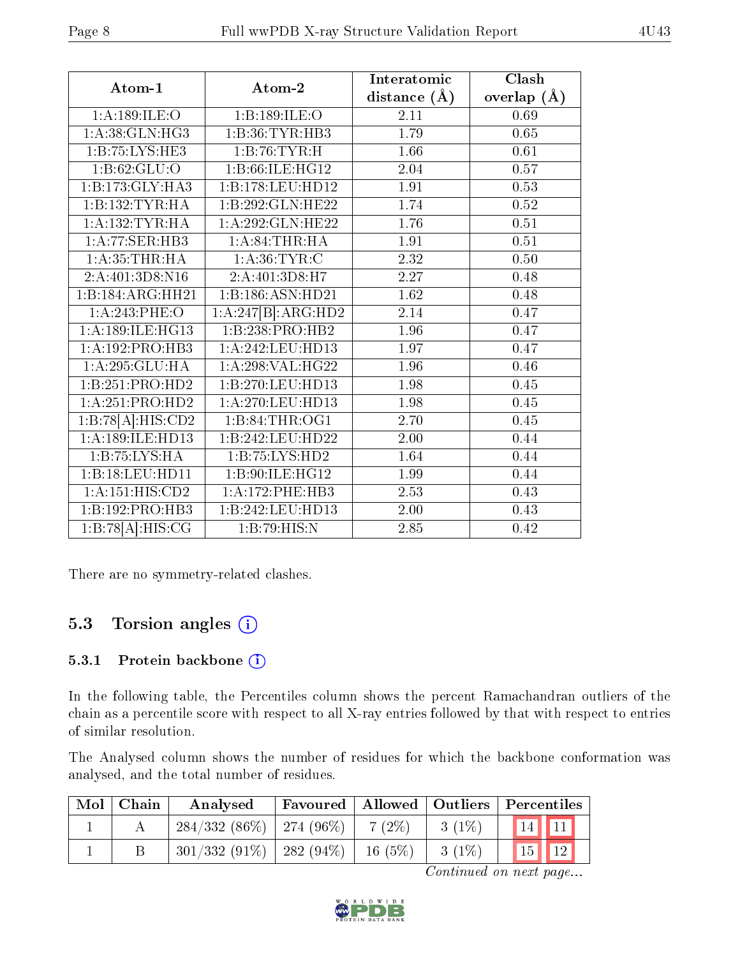| Atom-1                               | Atom-2             | Interatomic       | Clash           |
|--------------------------------------|--------------------|-------------------|-----------------|
|                                      |                    | distance $(A)$    | overlap $(\AA)$ |
| 1: A: 189: ILE: O                    | 1:B:189:ILE:O      | 2.11              | 0.69            |
| 1:A:38:GLN:HG3                       | 1:B:36:TYR:HB3     | 1.79              | 0.65            |
| 1: B: 75: LYS: HE3                   | 1:B:76:TYR:H       | 1.66              | 0.61            |
| 1:B:62:GLU:O                         | 1:B:66:ILE:HG12    | 2.04              | 0.57            |
| 1:B:173:GLY:HA3                      | 1:B:178:LEU:HD12   | 1.91              | 0.53            |
| 1:B:132:TYR:HA                       | 1:B:292:GLN:HE22   | 1.74              | 0.52            |
| 1: A: 132: TYR: HA                   | 1:A:292:GLN:HE22   | 1.76              | 0.51            |
| 1:A:77:SER:HB3                       | 1: A:84:THR:HA     | 1.91              | 0.51            |
| 1: A:35:THR:HA                       | 1: A:36: TYR: C    | 2.32              | 0.50            |
| 2: A: 401: 3D8: N16                  | 2:A:401:3D8:H7     | $\overline{2.27}$ | 0.48            |
| 1:B:184:ARG:HH21                     | 1:B:186:ASN:HD21   | 1.62              | 0.48            |
| 1:A:243:PHE:O                        | 1:A:247[B]:ARG:HD2 | 2.14              | 0.47            |
| 1:A:189:ILE:HG13                     | 1:B:238:PRO:HB2    | 1.96              | 0.47            |
| 1:A:192:PRO:HB3                      | 1:A:242:LEU:HD13   | 1.97              | 0.47            |
| 1:A:295:GLU:HA                       | 1: A:298: VAL:HG22 | $\overline{1.96}$ | 0.46            |
| 1:B:251:PRO:HD2                      | 1:B:270:LEU:HD13   | 1.98              | 0.45            |
| 1:A:251:PRO:HD2                      | 1:A:270:LEU:HD13   | 1.98              | 0.45            |
| 1:B:78[A]:HIS:CD2                    | 1:B:84:THR:OG1     | 2.70              | $0.45\,$        |
| 1:A:189:ILE:HD13                     | 1:B:242:LEU:HD22   | 2.00              | 0.44            |
| 1:B:75:LYS:HA                        | 1: B: 75: LYS: HD2 | 1.64              | 0.44            |
| 1:B:18:LEU:HD11                      | 1:B:90:ILE:HG12    | 1.99              | 0.44            |
| 1:A:151:HIS:CD2                      | 1:A:172:PHE:HB3    | 2.53              | 0.43            |
| 1:B:192:PRO:HB3                      | 1:B:242:LEU:HD13   | $2.00\,$          | 0.43            |
| $1:B:78[\overline{A}]\text{:HIS:CG}$ | 1:B:79:HIS:N       | 2.85              | 0.42            |

There are no symmetry-related clashes.

### 5.3 Torsion angles (i)

#### 5.3.1 Protein backbone (i)

In the following table, the Percentiles column shows the percent Ramachandran outliers of the chain as a percentile score with respect to all X-ray entries followed by that with respect to entries of similar resolution.

The Analysed column shows the number of residues for which the backbone conformation was analysed, and the total number of residues.

| $Mol$   Chain | Analysed                     |          |          | Favoured   Allowed   Outliers   Percentiles |
|---------------|------------------------------|----------|----------|---------------------------------------------|
|               | $284/332(86\%)$   274 (96\%) | $7(2\%)$ | $3(1\%)$ | $\boxed{14}$ $\boxed{11}$                   |
|               | $301/332(91\%)$ 282 (94\%)   | 16(5%)   | $3(1\%)$ | $\boxed{15}$ $\boxed{12}$                   |

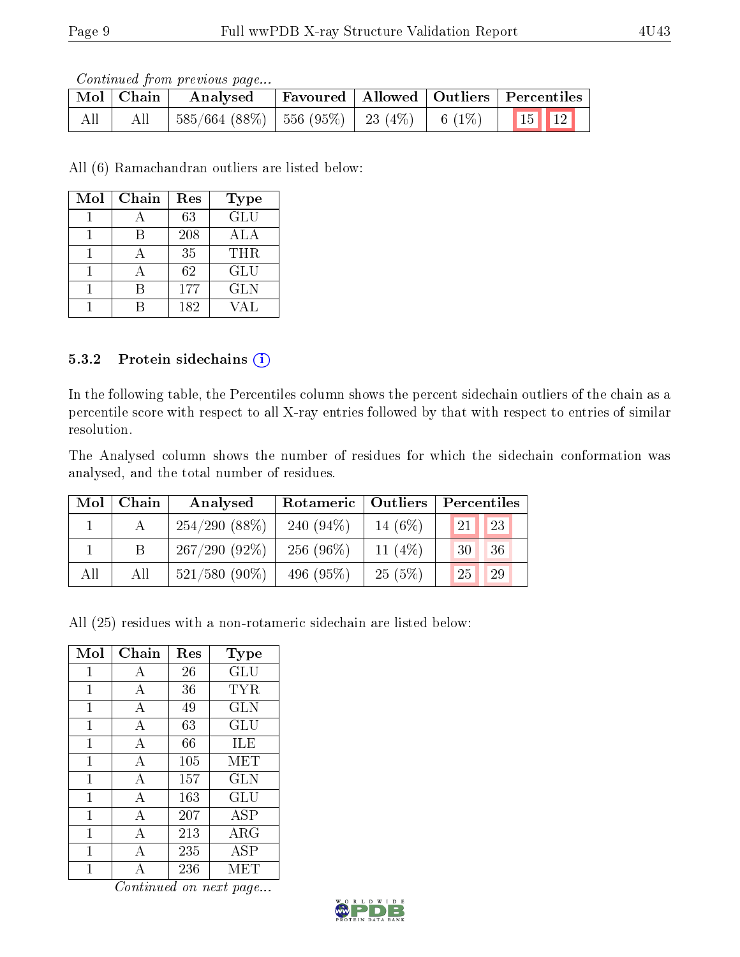Continued from previous page...

|     | Mol   Chain | Analysed                                                 |  | Favoured   Allowed   Outliers   Percentiles            |
|-----|-------------|----------------------------------------------------------|--|--------------------------------------------------------|
| All |             | $^{\prime}$ 585/664 (88%)   556 (95%)   23 (4%)   6 (1%) |  | $\begin{array}{ c c c }\n\hline\n15 & 12\n\end{array}$ |

All (6) Ramachandran outliers are listed below:

| Mol | Chain | Res | Type       |
|-----|-------|-----|------------|
|     |       | 63  | <b>GLU</b> |
|     |       | 208 | ALA        |
|     |       | 35  | THR.       |
|     |       | 62  | <b>GLU</b> |
|     |       | 177 | <b>GLN</b> |
|     |       | 182 | JAL.       |

#### 5.3.2 Protein sidechains (i)

In the following table, the Percentiles column shows the percent sidechain outliers of the chain as a percentile score with respect to all X-ray entries followed by that with respect to entries of similar resolution.

The Analysed column shows the number of residues for which the sidechain conformation was analysed, and the total number of residues.

| Mol | Chain | Analysed        | Rotameric   Outliers |           | Percentiles |
|-----|-------|-----------------|----------------------|-----------|-------------|
|     |       | $254/290(88\%)$ | 240 $(94\%)$         | 14 $(6%)$ | 23<br>21    |
|     |       | $267/290(92\%)$ | 256 $(96\%)$         | 11 $(4%)$ | 36<br>30    |
| All | All   | $521/580$ (90%) | 496 $(95\%)$         | 25(5%)    | 29<br>25    |

All (25) residues with a non-rotameric sidechain are listed below:

| Mol          | Chain          | $\operatorname{Res}% \left( \mathcal{N}\right) \equiv\operatorname{Res}(\mathcal{N}_{0})\cap\mathcal{N}_{1}$ | Type       |
|--------------|----------------|--------------------------------------------------------------------------------------------------------------|------------|
| 1            | А              | 26                                                                                                           | GLU        |
| 1            | А              | 36                                                                                                           | TYR        |
| 1            | А              | 49                                                                                                           | <b>GLN</b> |
| 1            | $\overline{A}$ | 63                                                                                                           | GLU        |
| 1            | $\overline{A}$ | 66                                                                                                           | ILE        |
| $\mathbf{1}$ | $\mathbf{A}$   | 105                                                                                                          | <b>MET</b> |
| 1            | A              | 157                                                                                                          | <b>GLN</b> |
| 1            | А              | 163                                                                                                          | GLU        |
| 1            | А              | 207                                                                                                          | <b>ASP</b> |
| 1            | $\overline{A}$ | 213                                                                                                          | ARG        |
| 1            | $\overline{A}$ | 235                                                                                                          | <b>ASP</b> |
| 1            | Α              | 236                                                                                                          | MET        |

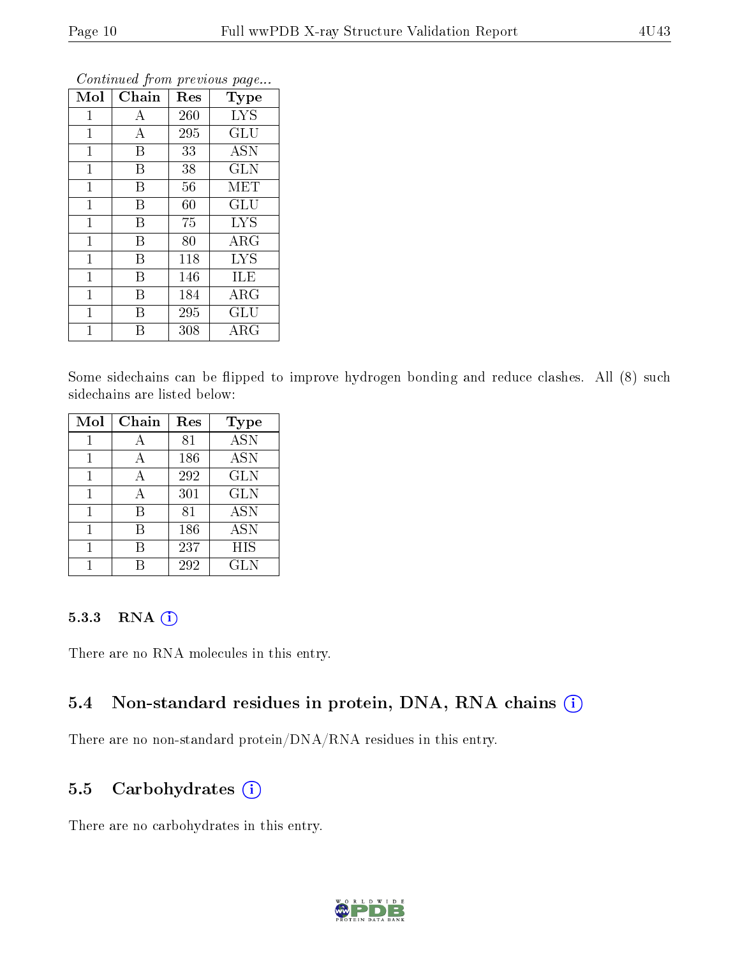| Mol            | ${\rm Chain}$ | Res    | Type                 |
|----------------|---------------|--------|----------------------|
| 1              | А             | 260    | <b>LYS</b>           |
| 1              | A             | 295    | GLU                  |
| $\mathbf{1}$   | B             | 33     | <b>ASN</b>           |
| $\mathbf 1$    | Β             | 38     | <b>GLN</b>           |
| $\mathbf 1$    | B             | 56     | MET                  |
| $\overline{1}$ | B             | $60\,$ | GLU                  |
| $\mathbf{1}$   | Β             | 75     | <b>LYS</b>           |
| $\mathbf 1$    | B             | 80     | $\rm{ARG}$           |
| $\mathbf{1}$   | Β             | 118    | <b>LYS</b>           |
| $\mathbf 1$    | Β             | 146    | ILE                  |
| $\mathbf 1$    | B             | 184    | $\rm{ARG}$           |
| $\overline{1}$ | B             | 295    | $\operatorname{GLU}$ |
| 1              | В             | 308    | $\rm{ARG}$           |

Continued from previous page...

Some sidechains can be flipped to improve hydrogen bonding and reduce clashes. All (8) such sidechains are listed below:

| Mol | Chain | Res | <b>Type</b>      |
|-----|-------|-----|------------------|
|     |       | 81  | $\overline{ASN}$ |
|     | А     | 186 | <b>ASN</b>       |
| 1   | А     | 292 | <b>GLN</b>       |
| 1   | А     | 301 | <b>GLN</b>       |
|     | B     | 81  | <b>ASN</b>       |
|     | В     | 186 | <b>ASN</b>       |
|     | В     | 237 | HIS              |
|     |       | 292 | <b>GLN</b>       |

#### 5.3.3 RNA (1)

There are no RNA molecules in this entry.

#### 5.4 Non-standard residues in protein, DNA, RNA chains (i)

There are no non-standard protein/DNA/RNA residues in this entry.

#### 5.5 Carbohydrates  $(i)$

There are no carbohydrates in this entry.

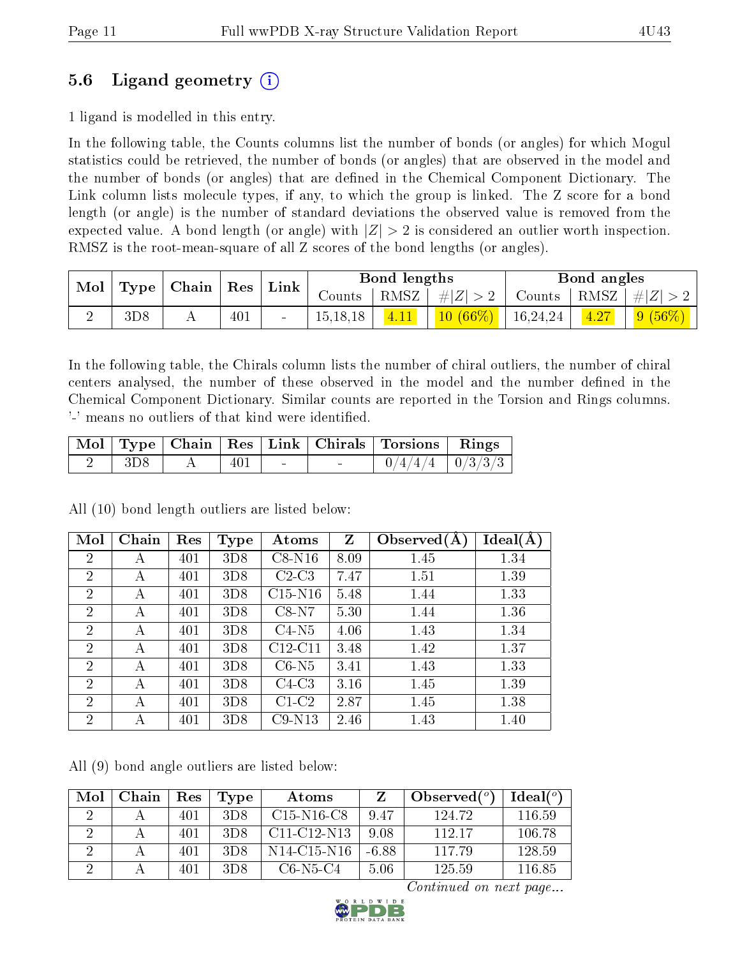### 5.6 Ligand geometry (i)

1 ligand is modelled in this entry.

In the following table, the Counts columns list the number of bonds (or angles) for which Mogul statistics could be retrieved, the number of bonds (or angles) that are observed in the model and the number of bonds (or angles) that are dened in the Chemical Component Dictionary. The Link column lists molecule types, if any, to which the group is linked. The Z score for a bond length (or angle) is the number of standard deviations the observed value is removed from the expected value. A bond length (or angle) with  $|Z| > 2$  is considered an outlier worth inspection. RMSZ is the root-mean-square of all Z scores of the bond lengths (or angles).

| Mol<br>Type | Chain | $\operatorname{Res}$ | Link |        | Bond lengths |      |            | Bond angles           |  |                 |
|-------------|-------|----------------------|------|--------|--------------|------|------------|-----------------------|--|-----------------|
|             |       |                      |      |        | Counts       | RMSZ | $\# Z $    | Counts   RMSZ $\vert$ |  | $\ H\ $         |
|             | 3D8   | A                    | 401  | $\sim$ | 15, 18, 18   | 4.11 | $10(66\%)$ | 16,24,24              |  | $\sqrt{(56\%)}$ |

In the following table, the Chirals column lists the number of chiral outliers, the number of chiral centers analysed, the number of these observed in the model and the number defined in the Chemical Component Dictionary. Similar counts are reported in the Torsion and Rings columns. '-' means no outliers of that kind were identified.

|         |                                 |     |        | Mol   Type   Chain   Res   Link   Chirals   Torsions   Rings |  |
|---------|---------------------------------|-----|--------|--------------------------------------------------------------|--|
| ' 3D8 - | . $\mathbf{A}$ and $\mathbf{A}$ | 401 | $\sim$ | $0/4/4/4$   $0/3/3/3$                                        |  |

All (10) bond length outliers are listed below:

| Mol            | Chain | Res | <b>Type</b> | Atoms     | Z    | Observed $(A)$ | Ideal(A) |
|----------------|-------|-----|-------------|-----------|------|----------------|----------|
| $\overline{2}$ | А     | 401 | 3D8         | $C8-N16$  | 8.09 | 1.45           | 1.34     |
| $\overline{2}$ | А     | 401 | 3D8         | $C2-C3$   | 7.47 | 1.51           | 1.39     |
| $\overline{2}$ | А     | 401 | 3D8         | $C15-N16$ | 5.48 | 1.44           | 1.33     |
| $\overline{2}$ | A     | 401 | 3D8         | $C8-N7$   | 5.30 | 1.44           | 1.36     |
| $\overline{2}$ | А     | 401 | 3D8         | $C4-N5$   | 4.06 | 1.43           | 1.34     |
| $\overline{2}$ | А     | 401 | 3D8         | $C12-C11$ | 3.48 | 1.42           | 1.37     |
| $\overline{2}$ | А     | 401 | 3D8         | $C6-N5$   | 3.41 | 1.43           | 1.33     |
| $\overline{2}$ | А     | 401 | 3D8         | $C4-C3$   | 3.16 | 1.45           | 1.39     |
| $\overline{2}$ | А     | 401 | 3D8         | $C1-C2$   | 2.87 | 1.45           | 1.38     |
| $\overline{2}$ | А     | 401 | 3D8         | $C9-N13$  | 2.46 | 1.43           | 1.40     |

All (9) bond angle outliers are listed below:

| Mol | Chain | Res | 'Type | Atoms                                             |       | Observed $(°)$ | Ideal $(°)$ |
|-----|-------|-----|-------|---------------------------------------------------|-------|----------------|-------------|
|     |       | 401 | 3D8   | $C15-N16-C8$                                      | 9.47  | 124.72         | 116.59      |
|     |       | 401 | 3D8   | $C11-C12-N13$                                     | 9.08  | 112.17         | 106.78      |
|     |       | 401 | 3D8   | N <sub>14</sub> -C <sub>15</sub> -N <sub>16</sub> | -6.88 | 117.79         | 128.59      |
|     |       | 401 | 3D8   | $C6$ -N5-C4                                       | 5.06  | 125.59         | 116.85      |

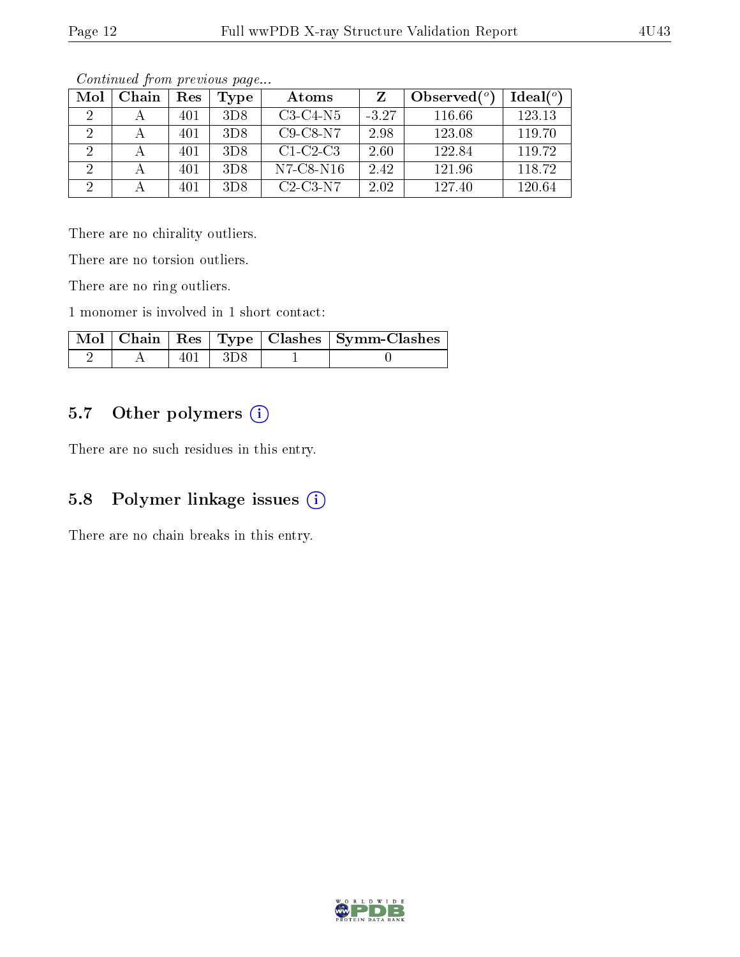|--|--|

| Mol      | Chain | Res | Type | Atoms              |         | Observed $(°)$ | Ideal $(°)$ |
|----------|-------|-----|------|--------------------|---------|----------------|-------------|
|          |       | 401 | 3D8  | $C3-C4-N5$         | $-3.27$ | 116.66         | 123.13      |
|          |       | 401 | 3D8  | $C9$ - $C8$ - $N7$ | 2.98    | 123.08         | 119.70      |
|          |       | 401 | 3D8  | $C1-C2-C3$         | 2.60    | 122.84         | 119.72      |
| 2        |       | 401 | 3D8  | N7-C8-N16          | 2.42    | 121.96         | 118.72      |
| $\Omega$ |       | 401 | 3D8  | $C2-C3-N7$         | 2.02    | 127.40         | 120.64      |

Continued from previous page...

There are no chirality outliers.

There are no torsion outliers.

There are no ring outliers.

1 monomer is involved in 1 short contact:

|  |           | Mol   Chain   Res   Type   Clashes   Symm-Clashes |
|--|-----------|---------------------------------------------------|
|  | 401   3D8 |                                                   |

#### 5.7 [O](https://www.wwpdb.org/validation/2017/XrayValidationReportHelp#nonstandard_residues_and_ligands)ther polymers (i)

There are no such residues in this entry.

### 5.8 Polymer linkage issues (i)

There are no chain breaks in this entry.

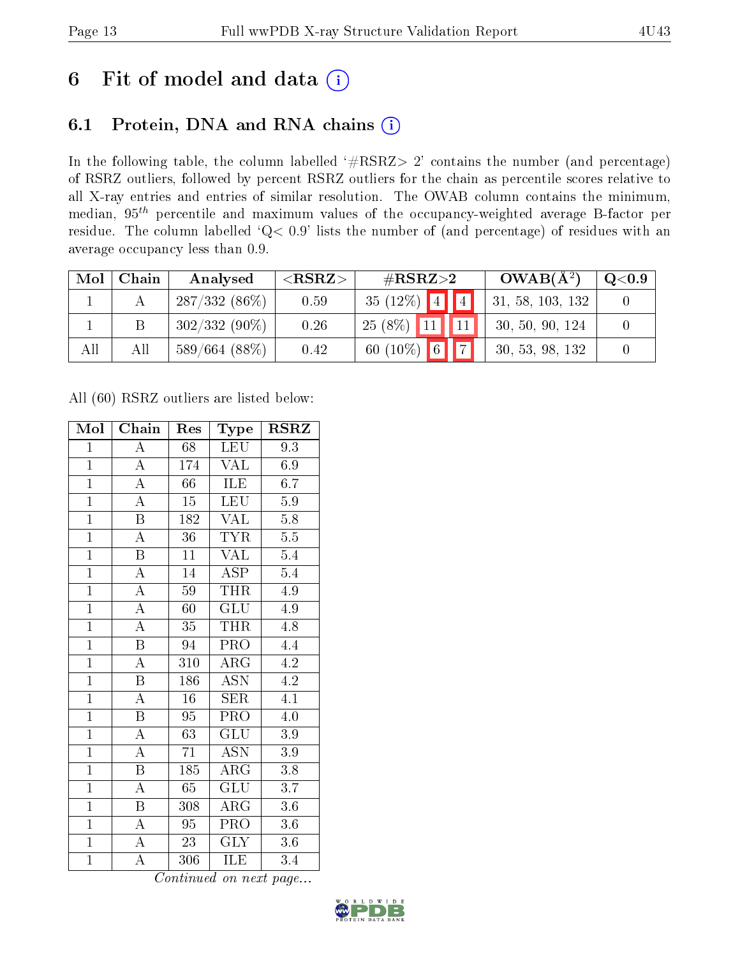## 6 Fit of model and data  $(i)$

## 6.1 Protein, DNA and RNA chains  $(i)$

In the following table, the column labelled  $#RSRZ> 2'$  contains the number (and percentage) of RSRZ outliers, followed by percent RSRZ outliers for the chain as percentile scores relative to all X-ray entries and entries of similar resolution. The OWAB column contains the minimum, median,  $95<sup>th</sup>$  percentile and maximum values of the occupancy-weighted average B-factor per residue. The column labelled ' $Q< 0.9$ ' lists the number of (and percentage) of residues with an average occupancy less than 0.9.

| Mol | Chain | Analysed        | ${ <\hspace{-1.5pt}{\mathrm{RSRZ}} \hspace{-1.5pt}>}$ | $\#\text{RSRZ}\text{>2}$         | $OWAB(A^2)$      | $\mathrm{Q}{<}0.9$ |
|-----|-------|-----------------|-------------------------------------------------------|----------------------------------|------------------|--------------------|
|     |       | $287/332(86\%)$ | 0.59                                                  | 35 (12%) $\boxed{4}$ $\boxed{4}$ | 31, 58, 103, 132 |                    |
|     |       | $302/332(90\%)$ | 0.26                                                  | $25(8\%)$                        | 30, 50, 90, 124  |                    |
| All | All   | 589/664 (88%)   | 0.42                                                  | 60 (10%) 6 7                     | 30, 53, 98, 132  |                    |

All (60) RSRZ outliers are listed below:

| Mol            | Chain                   | Res              | Type                      | $\rm RSRZ$       |
|----------------|-------------------------|------------------|---------------------------|------------------|
| $\mathbf{1}$   | A                       | 68               | LEU                       | 9.3              |
| $\overline{1}$ | $\overline{A}$          | 174              | <b>VAL</b>                | 6.9              |
| $\overline{1}$ | $\overline{\rm A}$      | $\overline{66}$  | <b>ILE</b>                | 6.7              |
| $\overline{1}$ | $\overline{\rm A}$      | 15               | LEU                       | $5.9\,$          |
| $\overline{1}$ | $\overline{\mathrm{B}}$ | 182              | <b>VAL</b>                | $\overline{5.8}$ |
| $\overline{1}$ | $\overline{\rm A}$      | 36               | <b>TYR</b>                | $\overline{5.5}$ |
| $\overline{1}$ | $\overline{\mathrm{B}}$ | 11               | <b>VAL</b>                | $5.4\,$          |
| $\overline{1}$ | $\overline{\rm A}$      | 14               | $\overline{\text{ASP}}$   | 5.4              |
| $\overline{1}$ | $\overline{\rm A}$      | 59               | THR                       | 4.9              |
| $\overline{1}$ | $\overline{\rm A}$      | 60               | $\overline{{\rm GLU}}$    | 4.9              |
| $\overline{1}$ | $\overline{\rm A}$      | 35               | <b>THR</b>                | $\overline{4.8}$ |
| $\overline{1}$ | $\overline{\mathrm{B}}$ | 94               | $\overline{\text{PRO}}$   | 4.4              |
| $\overline{1}$ | $\overline{\rm A}$      | 310              | $\overline{\text{ARG}}$   | 4.2              |
| $\overline{1}$ | $\overline{\mathrm{B}}$ | 186              | $\overline{\mathrm{ASN}}$ | 4.2              |
| $\overline{1}$ | $\overline{\rm A}$      | $\overline{16}$  | SER                       | $\overline{4.1}$ |
| $\mathbf{1}$   | $\, {\bf B}$            | 95               | PRO                       | 4.0              |
| $\overline{1}$ | $\overline{\rm A}$      | $\overline{63}$  | $\overline{\mathrm{GLU}}$ | $\overline{3.9}$ |
| $\overline{1}$ | $\overline{\rm A}$      | 71               | <b>ASN</b>                | 3.9              |
| $\overline{1}$ | $\overline{\mathrm{B}}$ | $\overline{185}$ | $\overline{\rm ARG}$      | $\overline{3}.8$ |
| $\overline{1}$ | $\overline{\rm A}$      | $65\,$           | GLU                       | 3.7              |
| $\overline{1}$ | $\overline{\mathrm{B}}$ | 308              | $\rm{ARG}$                | 3.6              |
| $\overline{1}$ | A                       | $95\,$           | PRO                       | $3.6\,$          |
| $\mathbf{1}$   | $\boldsymbol{A}$        | $23\,$           | <b>GLY</b>                | $3.6\,$          |
| $\mathbf{1}$   | A                       | 306              | ILE                       | 3.4              |

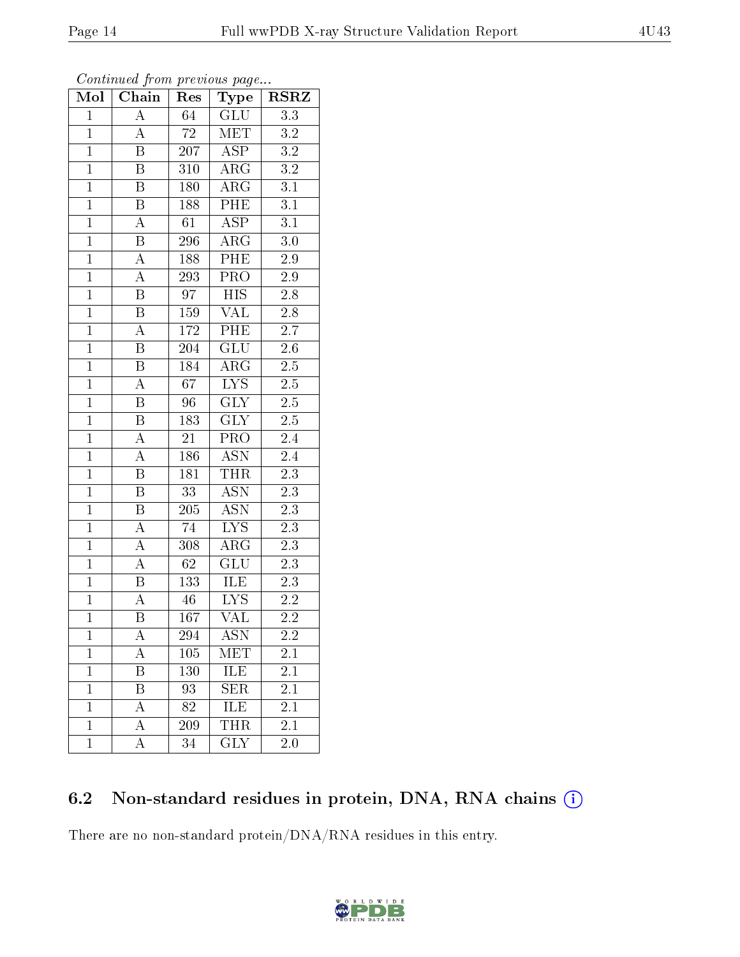| Mol            | Chain<br>Res            |                  | Type                    | $\rm RSRZ$       |
|----------------|-------------------------|------------------|-------------------------|------------------|
| $\mathbf{1}$   | $\overline{A}$          | 64               | GLU                     | $\overline{3.3}$ |
| $\mathbf{1}$   | $\overline{A}$          | 72               | <b>MET</b>              | 3.2              |
| $\mathbf{1}$   | $\overline{\mathrm{B}}$ | 207              | $\overline{\text{ASP}}$ | $\overline{3.2}$ |
| $\overline{1}$ | $\boldsymbol{B}$        | 310              | $\rm{ARG}$              | $\overline{3.2}$ |
| $\overline{1}$ | $\overline{\mathrm{B}}$ | 180              | $\overline{\text{ARG}}$ | $\overline{3.1}$ |
| $\overline{1}$ | $\, {\bf B}$            | 188              | $P\overline{HE}$        | $3.1\,$          |
| $\overline{1}$ | $\boldsymbol{A}$        | 61               | $\overline{\rm ASP}$    | $\overline{3.1}$ |
| $\overline{1}$ | $\overline{\mathbf{B}}$ | 296              | $\overline{\text{ARG}}$ | 3.0              |
| $\overline{1}$ | $\overline{A}$          | 188              | $\overline{\rm PHE}$    | $\overline{2.9}$ |
| $\overline{1}$ | $\overline{A}$          | 293              | $\overline{\text{PRO}}$ | 2.9              |
| $\overline{1}$ | $\overline{B}$          | 97               | $\overline{HIS}$        | $2.8\,$          |
| $\overline{1}$ | $\overline{\mathrm{B}}$ | 159              | <b>VAL</b>              | $2.8\,$          |
| $\overline{1}$ | A                       | 172              | PHE                     | $2.7\,$          |
| $\overline{1}$ | $\overline{\mathrm{B}}$ | 204              | <b>GLU</b>              | $2.6\,$          |
| $\mathbf{1}$   | $\overline{\mathrm{B}}$ | 184              | $\overline{\rm{ARG}}$   | $\overline{2.5}$ |
| $\mathbf{1}$   | $\boldsymbol{A}$        | 67               | $\overline{LYS}$        | $2.5\,$          |
| $\mathbf{1}$   | $\overline{\mathrm{B}}$ | 96               | $\overline{\text{GLY}}$ | $2.5\,$          |
| $\mathbf{1}$   | $\overline{\mathrm{B}}$ | 183              | <b>GLY</b>              | $2.5\,$          |
| $\mathbf{1}$   | $\overline{A}$          | 21               | PRO                     | 2.4              |
| $\overline{1}$ | $\overline{A}$          | 186              | $\overline{\text{ASN}}$ | $\overline{2.4}$ |
| $\mathbf{1}$   | B                       | 181              | <b>THR</b>              | $2.3\,$          |
| $\mathbf{1}$   | $\overline{\mathrm{B}}$ | $\overline{33}$  | <b>ASN</b>              | $\overline{2.3}$ |
| $\overline{1}$ | $\, {\bf B}$            | 205              | <b>ASN</b>              | 2.3              |
| $\overline{1}$ | $\overline{\rm A}$      | $\overline{74}$  | $\overline{\text{LYS}}$ | $\overline{2.3}$ |
| $\overline{1}$ | $\overline{A}$          | 308              | $\overline{\rm{ARG}}$   | $\overline{2.3}$ |
| $\overline{1}$ | $\overline{\rm A}$      | 62               | $\overline{\text{GLU}}$ | 2.3              |
| $\overline{1}$ | $\overline{\mathrm{B}}$ | 133              | ILE                     | $\overline{2.3}$ |
| $\overline{1}$ | A                       | $\sqrt{46}$      | $L\overline{YS}$        | 2.2              |
| $\overline{1}$ | $\overline{\mathrm{B}}$ | $\overline{167}$ | $\overline{\text{VAL}}$ | 2.2              |
| 1              | А                       | 294              | ASN                     | 2.2              |
| $\mathbf{1}$   | A                       | 105              | MET                     | 2.1              |
| $\mathbf{1}$   | $\overline{\mathrm{B}}$ | 130              | ILE                     | 2.1              |
| $\mathbf{1}$   | Β                       | 93               | <b>SER</b>              | 2.1              |
| $\mathbf{1}$   | A                       | 82               | ILE                     | 2.1              |
| $\mathbf{1}$   | А                       | 209              | THR                     | 2.1              |
| $\mathbf{1}$   | A                       | 34               | $\overline{\text{GLY}}$ | 2.0              |

Continued from previous page...

### 6.2 Non-standard residues in protein, DNA, RNA chains (i)

There are no non-standard protein/DNA/RNA residues in this entry.